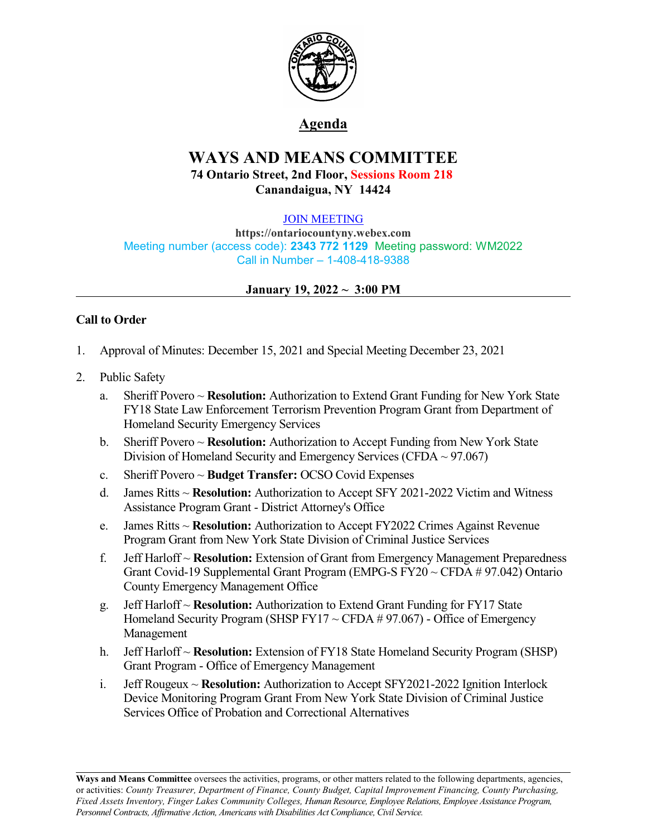

## **Agenda**

# **WAYS AND MEANS COMMITTEE 74 Ontario Street, 2nd Floor, Sessions Room 218 Canandaigua, NY 14424**

#### [JOIN MEETING](https://ontariocountyny.webex.com/)

**https://ontariocountyny.webex.com** Meeting number (access code): **2343 772 1129** Meeting password: WM2022 Call in Number – 1-408-418-9388

#### **January 19, 2022 ~ 3:00 PM**

### **Call to Order**

- 1. Approval of Minutes: December 15, 2021 and Special Meeting December 23, 2021
- 2. Public Safety
	- a. Sheriff Povero ~ **Resolution:** Authorization to Extend Grant Funding for New York State FY18 State Law Enforcement Terrorism Prevention Program Grant from Department of Homeland Security Emergency Services
	- b. Sheriff Povero ~ **Resolution:** Authorization to Accept Funding from New York State Division of Homeland Security and Emergency Services (CFDA  $\sim$  97.067)
	- c. Sheriff Povero ~ **Budget Transfer:** OCSO Covid Expenses
	- d. James Ritts ~ **Resolution:** Authorization to Accept SFY 2021-2022 Victim and Witness Assistance Program Grant - District Attorney's Office
	- e. James Ritts ~ **Resolution:** Authorization to Accept FY2022 Crimes Against Revenue Program Grant from New York State Division of Criminal Justice Services
	- f. Jeff Harloff ~ **Resolution:** Extension of Grant from Emergency Management Preparedness Grant Covid-19 Supplemental Grant Program (EMPG-S FY20 ~ CFDA # 97.042) Ontario County Emergency Management Office
	- g. Jeff Harloff ~ **Resolution:** Authorization to Extend Grant Funding for FY17 State Homeland Security Program (SHSP FY17 ~ CFDA # 97.067) - Office of Emergency Management
	- h. Jeff Harloff ~ **Resolution:** Extension of FY18 State Homeland Security Program (SHSP) Grant Program - Office of Emergency Management
	- i. Jeff Rougeux ~ **Resolution:** Authorization to Accept SFY2021-2022 Ignition Interlock Device Monitoring Program Grant From New York State Division of Criminal Justice Services Office of Probation and Correctional Alternatives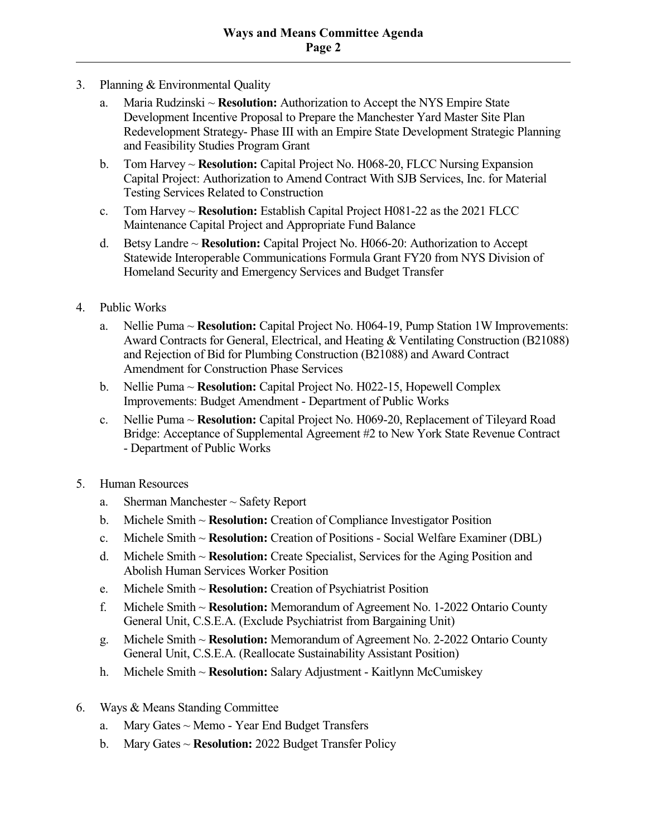- 3. Planning & Environmental Quality
	- a. Maria Rudzinski ~ **Resolution:** Authorization to Accept the NYS Empire State Development Incentive Proposal to Prepare the Manchester Yard Master Site Plan Redevelopment Strategy- Phase III with an Empire State Development Strategic Planning and Feasibility Studies Program Grant
	- b. Tom Harvey ~ **Resolution:** Capital Project No. H068-20, FLCC Nursing Expansion Capital Project: Authorization to Amend Contract With SJB Services, Inc. for Material Testing Services Related to Construction
	- c. Tom Harvey ~ **Resolution:** Establish Capital Project H081-22 as the 2021 FLCC Maintenance Capital Project and Appropriate Fund Balance
	- d. Betsy Landre ~ **Resolution:** Capital Project No. H066-20: Authorization to Accept Statewide Interoperable Communications Formula Grant FY20 from NYS Division of Homeland Security and Emergency Services and Budget Transfer
- 4. Public Works
	- a. Nellie Puma ~ **Resolution:** Capital Project No. H064-19, Pump Station 1W Improvements: Award Contracts for General, Electrical, and Heating & Ventilating Construction (B21088) and Rejection of Bid for Plumbing Construction (B21088) and Award Contract Amendment for Construction Phase Services
	- b. Nellie Puma ~ **Resolution:** Capital Project No. H022-15, Hopewell Complex Improvements: Budget Amendment - Department of Public Works
	- c. Nellie Puma ~ **Resolution:** Capital Project No. H069-20, Replacement of Tileyard Road Bridge: Acceptance of Supplemental Agreement #2 to New York State Revenue Contract - Department of Public Works
- 5. Human Resources
	- a. Sherman Manchester ~ Safety Report
	- b. Michele Smith ~ **Resolution:** Creation of Compliance Investigator Position
	- c. Michele Smith ~ **Resolution:** Creation of Positions Social Welfare Examiner (DBL)
	- d. Michele Smith ~ **Resolution:** Create Specialist, Services for the Aging Position and Abolish Human Services Worker Position
	- e. Michele Smith ~ **Resolution:** Creation of Psychiatrist Position
	- f. Michele Smith ~ **Resolution:** Memorandum of Agreement No. 1-2022 Ontario County General Unit, C.S.E.A. (Exclude Psychiatrist from Bargaining Unit)
	- g. Michele Smith ~ **Resolution:** Memorandum of Agreement No. 2-2022 Ontario County General Unit, C.S.E.A. (Reallocate Sustainability Assistant Position)
	- h. Michele Smith ~ **Resolution:** Salary Adjustment Kaitlynn McCumiskey
- 6. Ways & Means Standing Committee
	- a. Mary Gates ~ Memo Year End Budget Transfers
	- b. Mary Gates ~ **Resolution:** 2022 Budget Transfer Policy